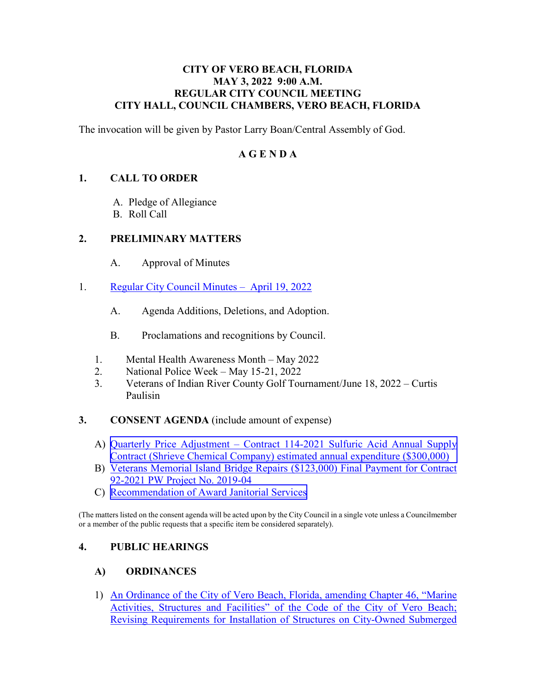#### **CITY OF VERO BEACH, FLORIDA MAY 3, 2022 9:00 A.M. REGULAR CITY COUNCIL MEETING CITY HALL, COUNCIL CHAMBERS, VERO BEACH, FLORIDA**

The invocation will be given by Pastor Larry Boan/Central Assembly of God.

# **A G E N D A**

# **1. CALL TO ORDER**

- A. Pledge of Allegiance
- B. Roll Call

#### **2. PRELIMINARY MATTERS**

- $A<sub>1</sub>$ Approval of Minutes
- 1. [Regular City Council Minutes April 19, 2022](https://www.covb.org/DocumentCenter/View/5914/2A-1) 
	- A. Agenda Additions, Deletions, and Adoption.
	- B. Proclamations and recognitions by Council.
	- 1. Mental Health Awareness Month May 2022
	- 2. National Police Week May 15-21, 2022
	- 3. Veterans of Indian River County Golf Tournament/June 18, 2022 Curtis Paulisin
- **3. CONSENT AGENDA** (include amount of expense)
	- A) [Quarterly Price Adjustment Contract 114-2021 Sulfuric Acid Annual Supply](https://www.covb.org/DocumentCenter/View/5917/3-C) [Contract \(Shrieve Chemical Company\) estimated annual expenditure \(\\$300,000\)](https://www.covb.org/DocumentCenter/View/5915/3-A)
	- B) Veterans Memorial Island Bridge Repairs (\$123,000) Final Payment for Contract [92-2021 PW Project No. 2019-04](https://www.covb.org/DocumentCenter/View/5916/3-B)
	- C) Recommendation of Award Janitorial Services

(The matters listed on the consent agenda will be acted upon by the City Council in a single vote unless a Councilmember or a member of the public requests that a specific item be considered separately).

# **4. PUBLIC HEARINGS**

# **A) ORDINANCES**

[1\) An Ordinance of the City of Vero Beach, Florida, amending Chapter 46, "Marine](https://www.covb.org/DocumentCenter/View/5918/4A-1)  [Activities, Structures and Facilities" of the Code of the City of Vero Beach;](https://www.covb.org/DocumentCenter/View/5918/4A-1)  [Revising Requirements for Installation of Structures on City-Owned Submerged](https://www.covb.org/DocumentCenter/View/5918/4A-1)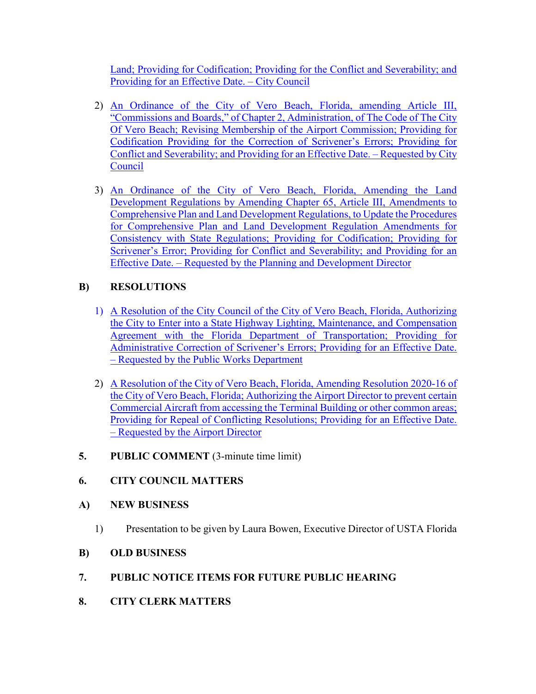[Land; Providing for Codification; Providing for the Conflict and Severability; and](https://www.covb.org/DocumentCenter/View/5918/4A-1)  [Providing for an Effective Date. – City Council](https://www.covb.org/DocumentCenter/View/5918/4A-1) 

- [Conflict and Severability; and Providing for an Effective Date. Requested by City](https://www.covb.org/DocumentCenter/View/5919/4A-2)  [2\) An Ordinance of the City of Vero Beach, Florida, amending Article III,](https://www.covb.org/DocumentCenter/View/5919/4A-2)  ["Commissions and Boards," of Chapter 2, Administration, of The Code of The City](https://www.covb.org/DocumentCenter/View/5919/4A-2)  [Of Vero Beach; Revising Membership of the Airport Commission; Providing for](https://www.covb.org/DocumentCenter/View/5919/4A-2)  [Codification Providing for the Correction of Scrivener's Errors; Providing for](https://www.covb.org/DocumentCenter/View/5919/4A-2)  [Council](https://www.covb.org/DocumentCenter/View/5919/4A-2)
- 3) An Ordinance of the City of Vero Beach, Florida, Amending the Land [Development Regulations by Amending Chapter 65, Article III, Amendments to](https://www.covb.org/DocumentCenter/View/5920/4A-3)  [Comprehensive Plan and Land Development Regulations, to Update the Procedures](https://www.covb.org/DocumentCenter/View/5920/4A-3)  [for Comprehensive Plan and Land Development Regulation Amendments for](https://www.covb.org/DocumentCenter/View/5920/4A-3)  [Consistency with State Regulations; Providing for Codification; Providing for](https://www.covb.org/DocumentCenter/View/5920/4A-3)  [Scrivener's Error; Providing for Conflict and Severability; and Providing for an](https://www.covb.org/DocumentCenter/View/5920/4A-3)  [Effective Date. – Requested by the Planning and Development Director](https://www.covb.org/DocumentCenter/View/5920/4A-3)

# **B) RESOLUTIONS**

- [1\) A Resolution of the City Council of the City of Vero Beach, Florida, Authorizing](https://www.covb.org/DocumentCenter/View/5921/4B-1)  [the City to Enter into a State Highway Lighting, Maintenance, and Compensation](https://www.covb.org/DocumentCenter/View/5921/4B-1)  [Agreement with the Florida Department of Transportation; Providing for](https://www.covb.org/DocumentCenter/View/5921/4B-1)  [Administrative Correction of Scrivener's Errors; Providing for an Effective Date.](https://www.covb.org/DocumentCenter/View/5921/4B-1)  [– Requested by the Public Works Department](https://www.covb.org/DocumentCenter/View/5921/4B-1)
- [2\) A Resolution of the City of Vero Beach, Florida, Amending Resolution 2020-16 of](https://www.covb.org/DocumentCenter/View/5922/4B-2)  [the City of Vero Beach, Florida; Authorizing the Airport Director to prevent certain](https://www.covb.org/DocumentCenter/View/5922/4B-2)  [Commercial Aircraft from accessing the Terminal Building or other common areas;](https://www.covb.org/DocumentCenter/View/5922/4B-2)  [Providing for Repeal of Conflicting Resolutions; Providing for an Effective Date.](https://www.covb.org/DocumentCenter/View/5922/4B-2)  [– Requested by the Airport Director](https://www.covb.org/DocumentCenter/View/5922/4B-2)
- **5. PUBLIC COMMENT** (3-minute time limit)

# **6. CITY COUNCIL MATTERS**

# **A) NEW BUSINESS**

1) Presentation to be given by Laura Bowen, Executive Director of USTA Florida

# **B) OLD BUSINESS**

# **7. PUBLIC NOTICE ITEMS FOR FUTURE PUBLIC HEARING 8. CITY CLERK MATTERS**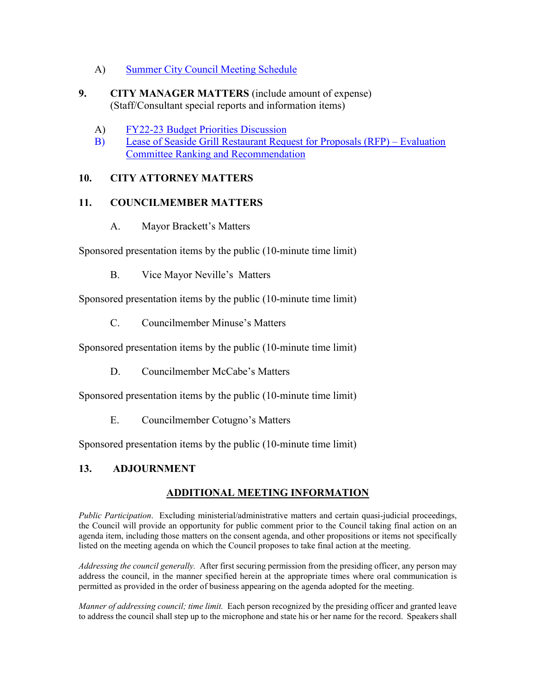- A) [Summer City Council Meeting Schedule](https://www.covb.org/DocumentCenter/View/5923/8-A)
- (Staff/Consultant special reports and information items)<br>
A) FY22-23 Budget Priorities Discussion **9. CITY MANAGER MATTERS** (include amount of expense)
	-
	- [B\) Lease of Seaside Grill Restaurant Request for Proposals \(RFP\) Evaluation](https://www.covb.org/DocumentCenter/View/5925/9-B)  [Committee Ranking and Recommendation](https://www.covb.org/DocumentCenter/View/5925/9-B)

#### **10. CITY ATTORNEY MATTERS**

#### **11. COUNCILMEMBER MATTERS**

A. Mayor Brackett's Matters

Sponsored presentation items by the public (10-minute time limit)

B. Vice Mayor Neville's Matters

Sponsored presentation items by the public (10-minute time limit)

C. Councilmember Minuse's Matters

Sponsored presentation items by the public (10-minute time limit)

D. Councilmember McCabe's Matters

Sponsored presentation items by the public (10-minute time limit)

E. Councilmember Cotugno's Matters

Sponsored presentation items by the public (10-minute time limit)

# **13. ADJOURNMENT**

# **ADDITIONAL MEETING INFORMATION**

 agenda item, including those matters on the consent agenda, and other propositions or items not specifically *Public Participation*. Excluding ministerial/administrative matters and certain quasi-judicial proceedings, the Council will provide an opportunity for public comment prior to the Council taking final action on an listed on the meeting agenda on which the Council proposes to take final action at the meeting.

 *Addressing the council generally.* After first securing permission from the presiding officer, any person may address the council, in the manner specified herein at the appropriate times where oral communication is permitted as provided in the order of business appearing on the agenda adopted for the meeting.

 *Manner of addressing council; time limit.* Each person recognized by the presiding officer and granted leave to address the council shall step up to the microphone and state his or her name for the record. Speakers shall